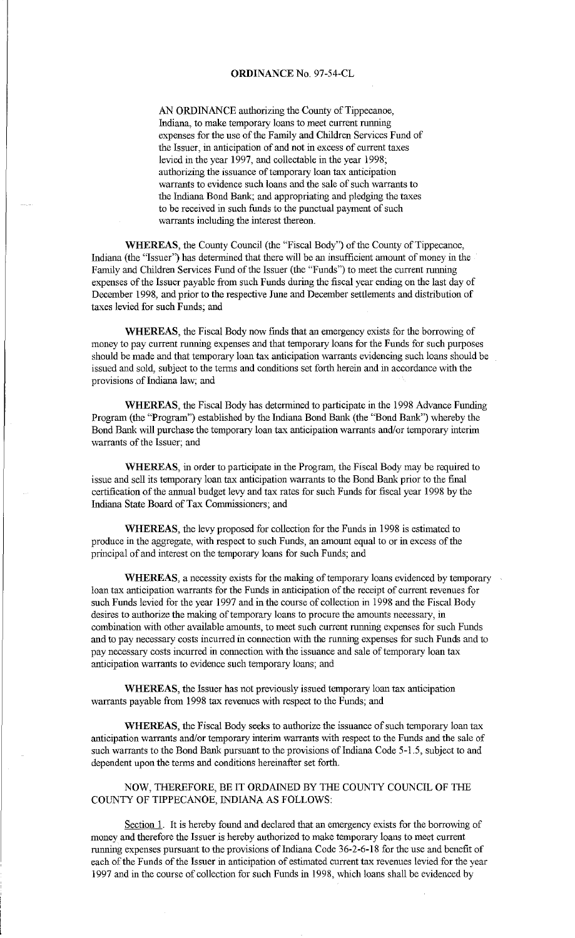AN ORDINANCE authorizing the County of Tippecanoe, Indiana, to make temporary loans to meet current nmning expenses for the use of the Family and Children Services Fund of the Issuer, in anticipation of and not in excess of current taxes levied in the year 1997, and collectable in the year 1998; authorizing the issuance of temporary loan tax anticipation warrants to evidence such loans and the sale of such warrants to the Indiana Bond Bank; and appropriating and pledging the taxes to be received in such funds to the punctual payment of such warrants including the interest thereon.

**WHEREAS,** the County Council (the "Fiscal Body") of the County of Tippecanoe, Indiana (the "Issuer') has determined that there will be an insufficient amount of money in the Family and Children Services Fund of the Issuer (the "Funds") to meet the current nmning expenses of the Issuer payable from such Funds during the fiscal year ending on the last day of December 1998, and prior to the respective June and December settlements and distribution of taxes levied for such Funds; and

**WHEREAS,** the Fiscal Body now finds that an emergency exists for the borrowing of money to pay current nmning expenses and that temporary loans for the Funds for such purposes should be made and that temporary loan tax anticipation warrants evidencing such loans should be issued and sold, subject to the terms and conditions set forth herein and in accordance with the provisions of Indiana law; and

WHEREAS, the Fiscal Body has determined to participate in the 1998 Advance Funding Program (the "Program") established by the Indiana Bond Bank (the "Bond Bank") whereby the Bond Bank will purchase the temporary loan tax anticipation warrants and/or temporary interim warrants of the Issuer; and

**WHEREAS,** in order to participate in the Program, the Fiscal Body may be required to issue and sell its temporary loan tax anticipation warrants to the Bond Bank prior to the final certification of the armual budget levy and tax rates for such Funds for fiscal year 1998 by the Indiana State Board of Tax Commissioners; and

**WHEREAS,** the levy proposed for collection for the Funds in 1998 is estimated to produce in the aggregate, with respect to such Funds, an amount equal to or in excess of the principal of and interest on the temporary loans for such Funds; and

**WHEREAS,** a necessity exists for the making of temporary loans evidenced by temporary loan tax anticipation warrants for the Funds in anticipation of the receipt of current revenues for such Funds levied for the year 1997 and in the course of collection in 1998 and the Fiscal Body desires to authorize the making of temporary loans to procure the amounts necessary, in combination with other available amounts, to meet such current running expenses for such Funds and to pay necessary costs incurred in connection with the rmming expenses for such Funds and to pay necessary costs incurred in connection with the issuance and sale of temporary loan tax anticipation warrants to evidence such temporary loans; and

**WHEREAS,** the Issuer has not previously issued temporary loan tax anticipation warrants payable from 1998 tax revenues with respect to the Funds; and

**WHEREAS,** the Fiscal Body seeks to authorize the issuance of such temporary loan tax anticipation warrants and/or temporary interim warrants with respect to the Funds and the sale of such warrants to the Bond Bank pursuant to the provisions of Indiana Code 5-1.5, subject to and dependent upon the terms and conditions hereinafter set forth.

NOW, THEREFORE, BE IT ORDAINED BY THE COUNTY COUNCIL OF THE COUNTY OF TIPPECANOE, INDIANA AS FOLLOWS:

Section 1. It is hereby found and declared that an emergency exists for the borrowing of money and therefore the Issuer is hereby authorized to make temporary loans to meet current running expenses pursuant to the provisions of Indiana Code 36-2-6-18 for the use and benefit of each of the Funds of the Issuer in anticipation of estimated current tax revenues levied for the year 1997 and in the course of collection for such Funds in 1998, which loans shall be evidenced by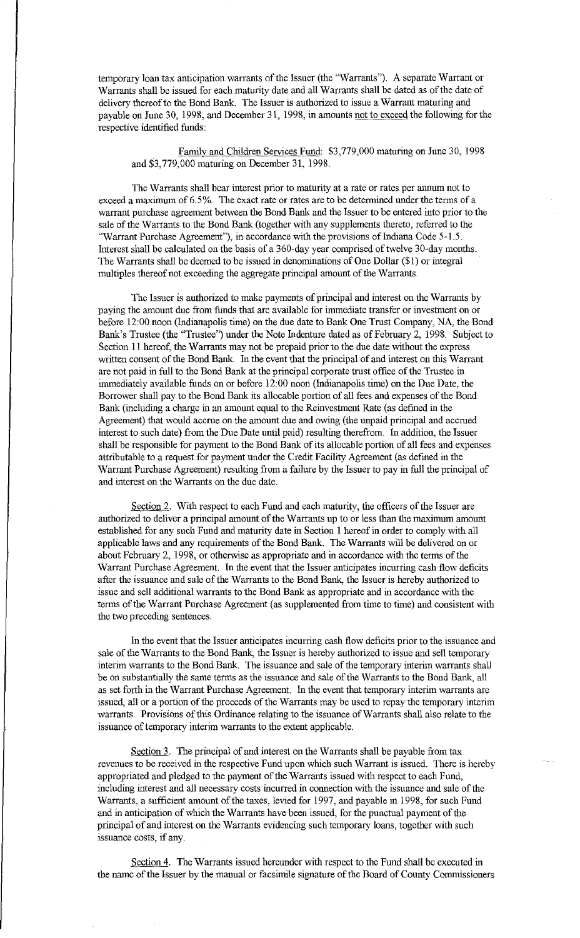temporary loan tax anticipation warrants of the Issuer (the "Warrants"). A separate Warrant or Warrants shall be issued for each maturity date and all Warrants shall be dated as of the date of delivery thereof to the Bond Bank. The Issuer is authorized to issue a Warrant maturing and payable on June 30, 1998, and December 31, 1998, in amounts not to exceed the following for the respective identified funds:

# Family and Children Services Fund: \$3,779,000 maturing on June 30, 1998 and \$3, 779,000 maturing on December 31, 1998.

The Warrants shall bear interest prior to maturity at a rate or rates per annum not to exceed a maximum of 6.5%. The exact rate or rates are to be determined under the terms of a warrant purchase agreement between the Bond Bank and the Issuer to be entered into prior to the sale of the Warrants to the Bond Bank (together with any supplements thereto, referred to the "Warrant Purchase Agreement"), in accordance with the provisions of Indiana Code 5-1.5. Interest shall be calculated on the basis of a 360-day year comprised of twelve 30-day months. The Warrants shall be deemed to be issued in denominations of One Dollar (\$1) or integral multiples thereof not exceeding the aggregate principal amount of the Warrants.

The Issuer is authorized to make payments of principal and interest on the Warrants by paying the amount due from funds that are available for immediate transfer or investment on or before 12:00 noon (Indianapolis time) on the due date to Bank One Trust Company, NA, the Bond Bank's Trustee (the "Trustee') under the Note Indenture dated as of February 2, 1998. Subject to Section 11 hereof, the Warrants may not be prepaid prior to the due date without the express written consent of the Bond Bank. In the event that the principal of and interest on this Warrant are not paid in full to the Bond Bank at the principal corporate trust office of the Trustee in immediately available funds on or before 12:00 noon (Indianapolis time) on the Due Date, the Borrower shall pay to the Bond Bank its allocable portion of all fees and expenses of the Bond Bank (including a charge in an amount equal to the Reinvestment Rate (as defined in the Agreement) that would accrue on the amount due and owing (the unpaid principal and accrued interest to such date) from the Due Date until paid) resulting therefrom. In addition, the Issuer shall be responsible for payment to the Bond Bank of its allocable portion of all fees and expenses attributable to a request for payment under the Credit Facility Agreement (as defmed in the Warrant Purchase Agreement) resulting from a failure by the Issuer to pay in full the principal of and interest on the Warrants on the due date.

Section 2. With respect to each Fund and each maturity, the officers of the Issuer are authorized to deliver a principal amount of the Warrants up to or less than the maximum amount established for any such Fund and maturity date in Section l hereof in order to comply with all applicable laws and any requirements of the Bond Bank. The Warrants will be delivered on or about February 2, 1998, or otherwise as appropriate and in accordance with the terms of the Warrant Purchase Agreement. In the event that the Issuer anticipates incurring cash flow deficits after the issuance and sale of the Warrants to the Bond Bank, the Issuer is hereby authorized to issue and sell additional warrants to the Bond Bank as appropriate and in accordance with the terms of the Warrant Purchase Agreement (as supplemented from time to time) and consistent with the two preceding sentences.

In the event that the Issuer anticipates incurring cash flow deficits prior to the issuance and sale of the Warrants to the Bond Bank, the Issuer is hereby authorized to issue and sell temporary interim warrants to the Bond Bank. The issuance and sale of the temporary interim warrants shall be on substantially the same terms as the issuance and sale of the Warrants to the Bond Bank, all as set forth in the Warrant Purchase Agreement. In the event that temporary interim warrants are issued, all or a portion of the proceeds of the Warrants may be used to repay the temporary interim warrants. Provisions of this Ordinance relating to the issuance of Warrants shall also relate to the issuance of temporary interim warrants to the extent applicable.

Section 3. The principal of and interest on the Warrants shall be payable from tax revenues to be received in the respective Fund upon which such Warrant is issued. There is hereby appropriated and pledged to the payment of the Warrants issued with respect to each Fund, including interest and all necessary costs incurred in connection with the issuance and sale of the Warrants, a sufficient amount of the taxes, levied for 1997, and payable in 1998, for such Fund and in anticipation of which the Warrants have been issued, for the punctual payment of the principal of and interest on the Warrants evidencing such temporary loans, together with such issuance costs, if any.

Section 4. The Warrants issued hereunder with respect to the Fund shall be executed in the name of the Issuer by the manual or facsimile signature of the Board of County Commissioners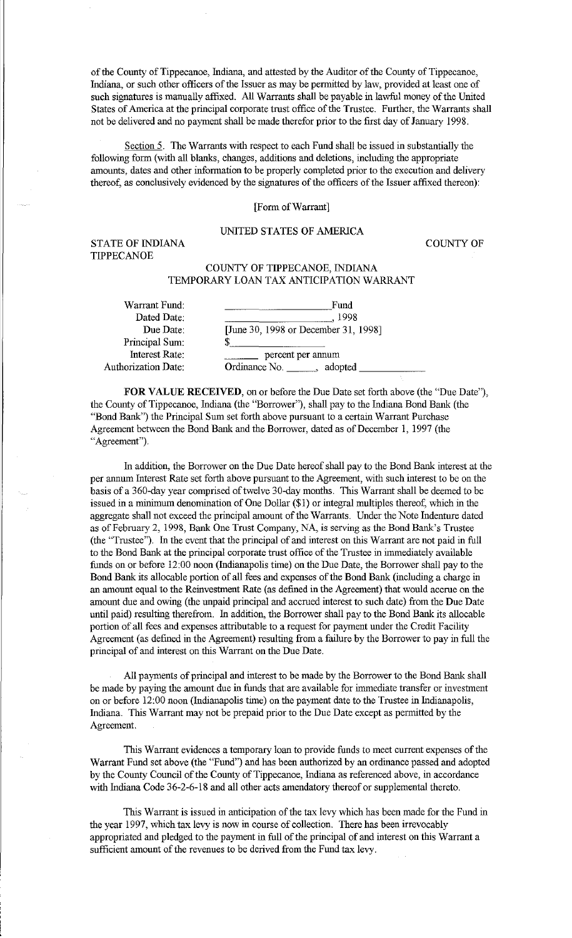of the County of Tippecanoe, Indiana, and attested by the Auditor of the County of Tippecanoe, Indiana, or such other officers of the Issuer as may be permitted by law, provided at least one of such signatures is manually affixed. All Warrants shall be payable in lawful money of the United States of America at the principal corporate trust office of the Trustee. Further, the Warrants shall not be delivered and no payment shall be made therefor prior to the first day of January 1998.

Section 5. The Warrants with respect to each Fund shall be issued in substantially the following form (with all blanks, changes, additions and deletions, including the appropriate amounts, dates and other information to be properly completed prior to the execution and delivery thereof, as conclusively evidenced by the signatures of the officers of the Issuer affixed thereon):

## [Form of Warrant]

## UNITED STATES OF AMERICA

STATE OF INDIANA TIPPECANOE

COUNTY OF

# COUNTY OF TIPPECANOE, INDIANA TEMPORARY LOAN TAX ANTICIPATION WARRANT

| Warrant Fund:              | Fund                                 |
|----------------------------|--------------------------------------|
| Dated Date:                | 1998                                 |
| Due Date:                  | [June 30, 1998 or December 31, 1998] |
| Principal Sum:             | S                                    |
| Interest Rate:             | percent per annum                    |
| <b>Authorization Date:</b> | Ordinance No.<br>adopted             |
|                            |                                      |

**FOR VALUE RECEIVED**, on or before the Due Date set forth above (the "Due Date"), the County of Tippecanoe, Indiana (the "Borrower"), shall pay to the Indiana Bond Bank (the "Bond Bank") the Principal Sum set forth above pursuant to a certain Warrant Purchase Agreement between the Bond Bank and the Borrower, dated as of December 1, 1997 (the "Agreement").

In addition, the Borrower on the Due Date hereof shall pay to the Bond Bank interest at the per annum Interest Rate set forth above pursuant to the Agreement, with such interest to be on the basis of a 360-day year comprised of twelve 30-day months. This Warrant shall be deemed to be issued in a minimum denomination of One Dollar (\$1) or integral multiples thereof, which in the aggregate shall not exceed the principal amount of the Warrants. Under the Note Indenture dated as of February 2, 1998, Bank One Trust Company, NA, is serving as the Bond Bank's Trustee (the "Trustee"). In the event that the principal of and interest on this Warrant are not paid in full to the Bond Bank at the principal corporate trust office of the Trustee in immediately available funds on or before 12:00 noon (Indianapolis time) on the Due Date, the Borrower shall pay to the Bond Bank its allocable portion of all fees and expenses of the Bond Bank (including a charge in an amount equal to the Reinvestment Rate (as defmed in the Agreement) that would accrue on the amount due and owing (the unpaid principal and accrued interest to such date) from the Due Date until paid) resulting therefrom. In addition, the Borrower shall pay to the Bond Bank its allocable portion of all fees and expenses attributable to a request for payment under the Credit Facility Agreement (as defined in the Agreement) resulting from a failure by the Borrower to pay in full the principal of and interest on this Warrant on the Due Date.

All payments of principal and interest to be made by the Borrower to the Bond Bank shall be made by paying the amount due in funds that are available for immediate transfer or investment on or before 12:00 noon (Indianapolis time) on the payment date to the Trustee in Indianapolis, Indiana. This Warrant may not be prepaid prior to the Due Date except as permitted by the Agreement.

This Warrant evidences a temporary loan to provide funds to meet current expenses of the Warrant Fund set above (the "Fund") and has been authorized by an ordinance passed and adopted by the County Council of the County of Tippecanoe, Indiana as referenced above, in accordance with Indiana Code 36-2-6-18 and all other acts amendatory thereof or supplemental thereto.

This Warrant is issued in anticipation of the tax levy which has been made for the Fund in the year 1997, which tax levy is now in course of collection. There has been irrevocably appropriated and pledged to the payment in full of the principal of and interest on this Warrant a sufficient amount of the revenues to be derived from the Fund tax levy.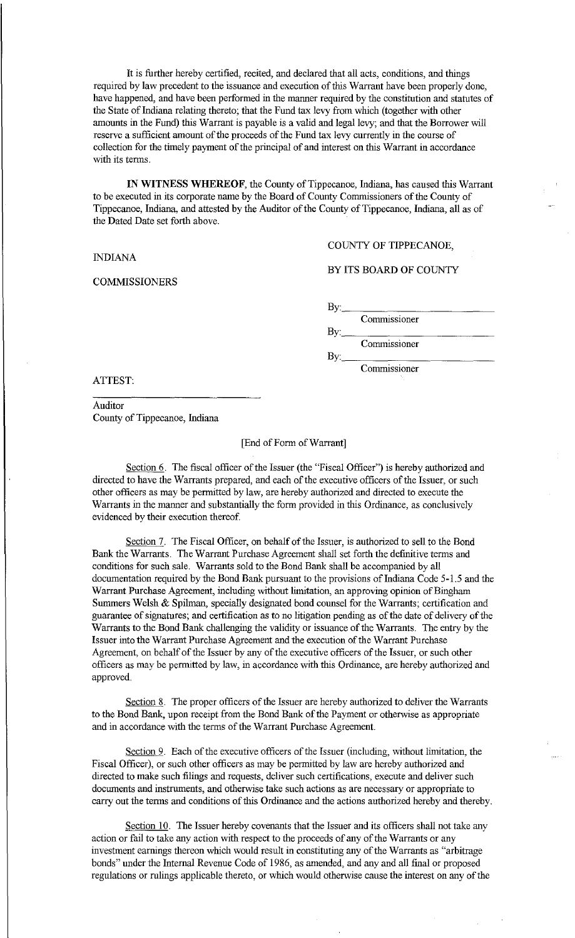It is further hereby certified, recited, and declared that all acts, conditions, and things required by law precedent to the issuance and execution of this Warrant have been properly done, have happened, and have been performed in the manner required by the constitution and statutes of the State of Indiana relating thereto; that the Fund tax levy from which (together with other amounts in the Fund) this Warrant is payable is a valid and legal levy; and that the Borrower will reserve a sufficient amount of the proceeds of the Fund tax levy currently in the course of collection for the timely payment of the principal of and interest on this Warrant in accordance with its terms.

**IN WITNESS WHEREOF,** the County of Tippecanoe, Indiana, has caused this Warrant to be executed in its corporate name by the Board of County Commissioners of the County of Tippecanoe, Indiana, and attested by the Auditor of the County of Tippecanoe, Indiana, all as of the Dated Date set forth above.

INDIANA

COMMISSIONERS

COUNTY OF TIPPECANOE,

#### BY ITS BOARD OF COUNTY

By: Commissioner

By:·~--:---:-~---- Commissioner

By: \_\_ --:--:-----~---- Commissioner

ATTEST:

Auditor County of Tippecanoe, Indiana

#### [End of Form of Warrant]

Section 6. The fiscal officer of the Issuer (the "Fiscal Officer") is hereby authorized and directed to have the Warrants prepared, and each of the executive officers of the Issuer, or such other officers as may be permitted by law, are hereby authorized and directed to execute the Warrants in the manner and substantially the form provided in this Ordinance, as conclusively evidenced by their execution thereof.

Section 7. The Fiscal Officer, on behalf of the Issuer, is authorized to sell to the Bond Bank the Warrants. The Warrant Purchase Agreement shall set forth the definitive terms and conditions for such sale. Warrants sold to the Bond Bank shall be accompanied by all documentation required by the Bond Bank pursuant to the provisions of Indiana Code 5-1.5 and the Warrant Purchase Agreement, including without limitation, an approving opinion of Bingham Summers Welsh  $\&$  Spilman, specially designated bond counsel for the Warrants; certification and guarantee of signatures; and certification as to no litigation pending as of the date of delivery of the Warrants to the Bond Bank challenging the validity or issuance of the Warrants. The entry by the Issuer into the Warrant Purchase Agreement and the execution of the Warrant Purchase Agreement, on behalf of the Issuer by any of the executive officers of the Issuer, or such other officers as may be permitted by law, in accordance with this Ordinance, are hereby authorized and approved.

Section 8. The proper officers of the Issuer are hereby authorized to deliver the Warrants to the Bond Bank, upon receipt from the Bond Bank of the Payment or otherwise as appropriate and in accordance with the terms of the Warrant Purchase Agreement.

Section 9. Each of the executive officers of the Issuer (including, without limitation, the Fiscal Officer), or such other officers as may be permitted by law are hereby authorized and directed to make such filings and requests, deliver such certifications, execute and deliver such documents and instruments, and otherwise take such actions as are necessary or appropriate to carry out the terms and conditions of this Ordinance and the actions authorized hereby and thereby.

Section 10. The Issuer hereby covenants that the Issuer and its officers shall not take any action or fail to take any action with respect to the proceeds of any of the Warrants or any investment earnings thereon which would result in constituting any of the Warrants as "arbitrage bonds" under the Internal Revenue Code of 1986, as amended, and any and all final or proposed regulations or rulings applicable thereto, or which would otherwise cause the interest on any of the